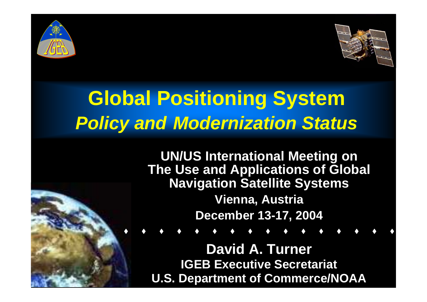



#### **Global Positioning System** *Policy and Modernization Status*

**UN/US International Meeting on The Use and Applications of Global Navigation Satellite Systems Vienna, Austria December 13-17, 2004**

**David A. Turner IGEB Executive Secretariat U.S. Department of Commerce/NOAA**

. . . . . . . . . . . . . . .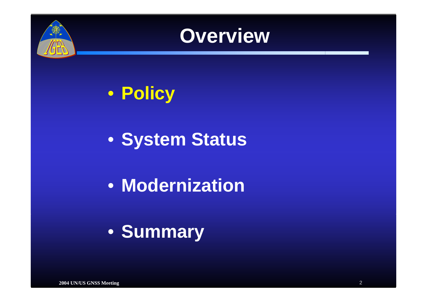



• **Policy** 

• **System Status**

• **Modernization**

• **Summary**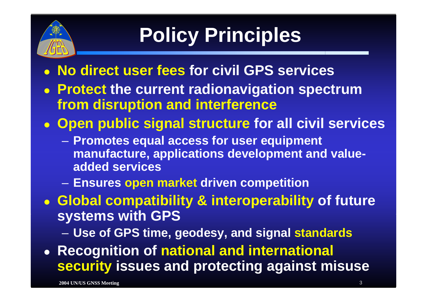

# **Policy Principles**

- z **No direct user fees for civil GPS services**
- z **Protect the current radionavigation spectrum from disruption and interference**
- z **Open public signal structure for all civil services** 
	- **Promotes equal access for user equipment manufacture, applications development and valueadded services**
	- –**Ensures open market driven competition**

z **Global compatibility & interoperability of future systems with GPS**

–**Use of GPS time, geodesy, and signal standards**

z **Recognition of national and international security issues and protecting against misuse**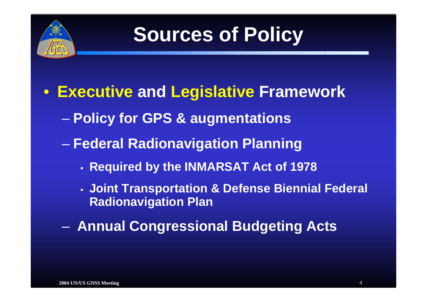

#### **Sources of Policy**

- **Executive and Legislative Framework**
	- **Policy for GPS & augmentations**
	- **Federal Radionavigation Planning**
		- Е **Required by the INMARSAT Act of 1978**
		- **Joint Transportation & Defense Biennial Federal Radionavigation Plan**
	- **Annual Congressional Budgeting Acts**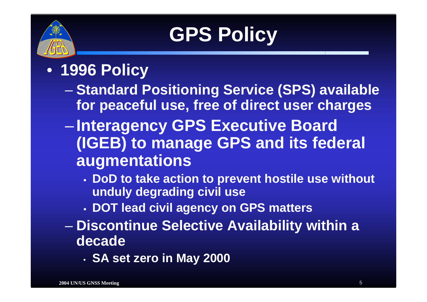

# **GPS Policy**

- **1996 Policy** 
	- en al control de la control de **Standard Positioning Service (SPS) available for peaceful use, free of direct user charges**
	- $\mathcal{L}_{\mathcal{A}}$  **Interagency GPS Executive Board (IGEB) to manage GPS and its federal augmentations**
		- **DoD to take action to prevent hostile use without unduly degrading civil use**
		- **DOT lead civil agency on GPS matters**
	- – **Discontinue Selective Availability within a decade** 
		- **SA set zero in May 2000**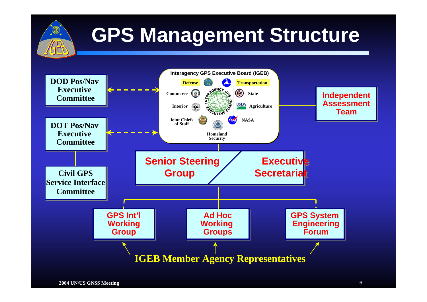

### **GPS Management Structure**

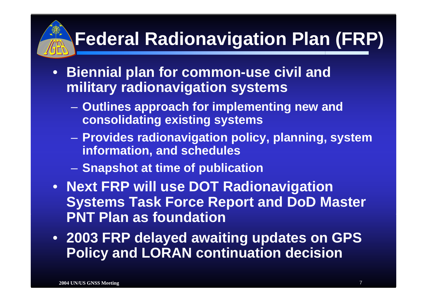### **Federal Radionavigation Plan (FRP)**

- **Biennial plan for common-use civil and military radionavigation systems**
	- – **Outlines approach for implementing new and consolidating existing systems**
	- **Provides radionavigation policy, planning, system information, and schedules**
	- – $-$  Snapshot at time of publication
- **Next FRP will use DOT Radionavigation Systems Task Force Report and DoD Master PNT Plan as foundation**
- **2003 FRP delayed awaiting updates on GPS Policy and LORAN continuation decision**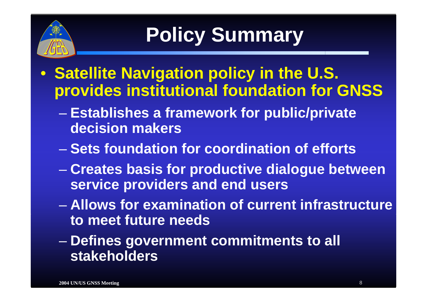

# **Policy Summary**

- **Satellite Navigation policy in the U.S. provides institutional foundation for GNSS**
	- **Establishes a framework for public/private decision makers**
	- **Sets foundation for coordination of efforts**
	- **Creates basis for productive dialogue between service providers and end users**
	- **Allows for examination of current infrastructure to meet future needs**
	- en al control de la control de **Defines government commitments to all stakeholders**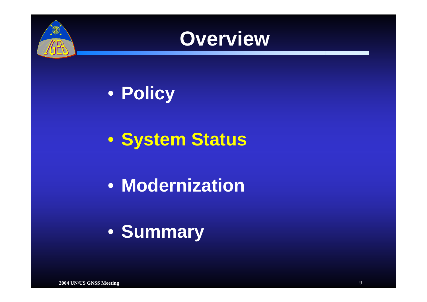



• **Policy**

• **System Status**

• **Modernization**

• **Summary**

**2004 UN/US GNSS Meeting** 9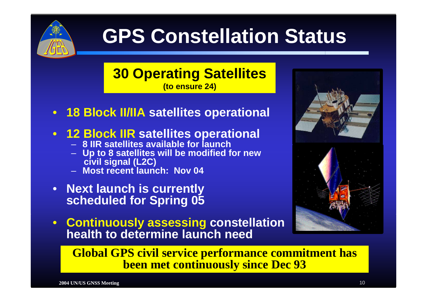

#### **GPS Constellation Status**

#### **30 Operating Satellites (to ensure 24)**

- $\bullet$ **18 Block II/IIA satellites operational**
- **12 Block IIR satellites operational**
	- **8 IIR satellites available for launch**
	- **Up to 8 satellites will be modified for new civil signal (L2C)**
	- **Most recent launch: Nov 04**
- **Next launch is currently scheduled for Spring 05**
- **Continuously assessing constellation health to determine launch need**



**Global GPS civil service performance commitment has been met continuously since Dec 93**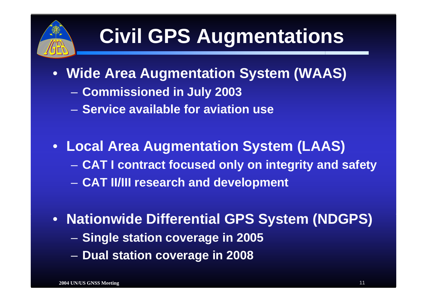

#### **Civil GPS Augmentations**

- **Wide Area Augmentation System (WAAS)**
	- –**Commissioned in July 2003**
	- **Service available for aviation use**
- **Local Area Augmentation System (LAAS) CAT I contract focused only on integrity and safety** –**CAT II/III research and development**
- **Nationwide Differential GPS System (NDGPS)** – **Single station coverage in 2005** –**Dual station coverage in 2008**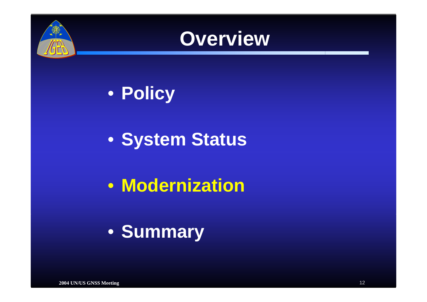



• **Policy**

• **System Status**

• **Modernization**

• **Summary**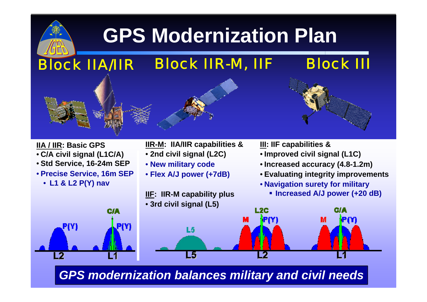### **GPS Modernization Plan**



**2004 UN/US GNSS Meeting** 13 *GPS modernization balances military and civil needs*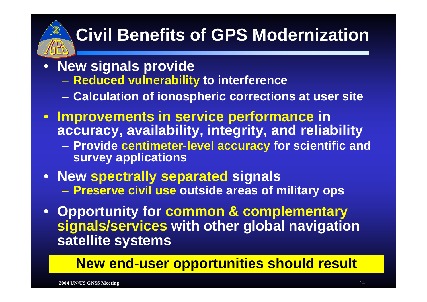#### **Civil Benefits of GPS Modernization**

- **New signals provide**
	- **Reduced vulnerability to interference**
	- **Calculation of ionospheric corrections at user site**
- **Improvements in service performance in accuracy, availability, integrity, and reliability**
	- **Provide centimeter-level accuracy for scientific and survey applications**
- **New spectrally separated signals Preserve civil use outside areas of military ops**
- **Opportunity for common & complementary signals/services with other global navigation satellite systems**

#### **New end-user opportunities should result**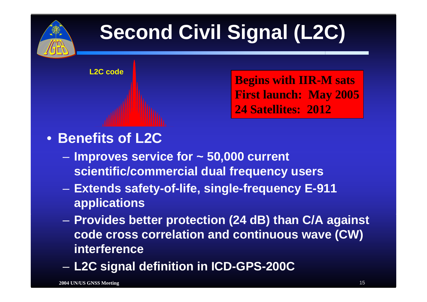

### **Second Civil Signal (L2C)**

**L2C code**

**Begins with IIR-M sats First launch: May 2005 24 Satellites: 2012**

#### • **Benefits of L2C**

- **Improves service for ~ 50,000 current scientific/commercial dual frequency users**
- **Extends safety-of-life, single-frequency E-911 applications**
- – **Provides better protection (24 dB) than C/A against code cross correlation and continuous wave (CW) interference**
- **L2C signal definition in ICD-GPS-200C**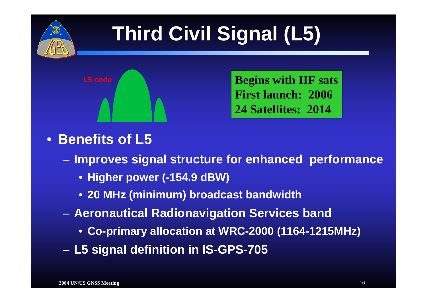

### **Third Civil Signal (L5)**



 **Begins with IIF sats First launch: 200624 Satellites: 2014**

#### • **Benefits of L5**

–**Improves signal structure for enhanced performance**

- **Higher power (-154.9 dBW)**
- **20 MHz (minimum) broadcast bandwidth**
- – **Aeronautical Radionavigation Services band**
	- **Co-primary allocation at WRC-2000 (1164-1215MHz)**
- –**L5 signal definition in IS-GPS-705**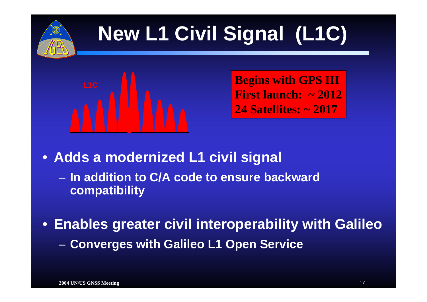

### **New L1 Civil Signal (L1C)**



 **Begins with GPS III First launch: ~ 201224 Satellites: ~ 2017**

• **Adds a modernized L1 civil signal**

- **In addition to C/A code to ensure backward compatibility**
- **Enables greater civil interoperability with Galileo**  $\sim$ **Converges with Galileo L1 Open Service**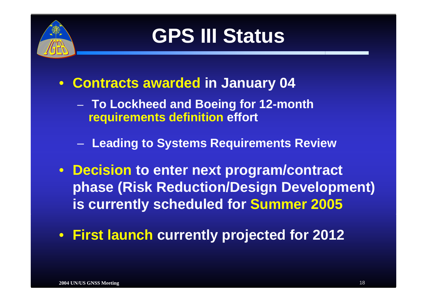

#### **GPS III Status**

- • **Contracts awarded in January 04**
	- **To Lockheed and Boeing for 12-month requirements definition effort**
	- –**Leading to Systems Requirements Review**
- • **Decision to enter next program/contract phase (Risk Reduction/Design Development) is currently scheduled for Summer 2005**
- $\bullet$ **First launch currently projected for 2012**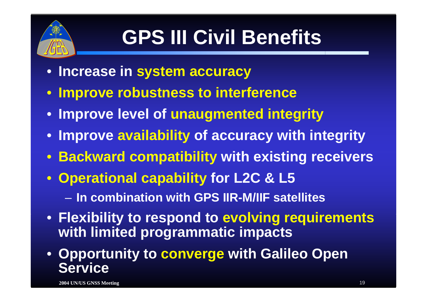

### **GPS III Civil Benefits**

- **Increase in system accuracy**
- **Improve robustness to interference**
- **Improve level of unaugmented integrity**
- **Improve availability of accuracy with integrity**
- **Backward compatibility with existing receivers**
- **Operational capability for L2C & L5** – **In combination with GPS IIR-M/IIF satellites**
- **Flexibility to respond to evolving requirements with limited programmatic impacts**
- **Opportunity to converge with Galileo Open Service**

**2004 UN/US GNSS Meeting** 19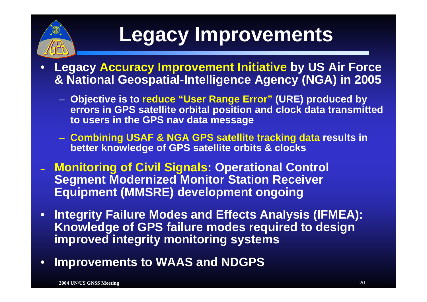

### **Legacy Improvements**

- • **Legacy Accuracy Improvement Initiative by US Air Force & National Geospatial-Intelligence Agency (NGA) in 2005**
	- **Objective is to reduce "User Range Error" (URE) produced by errors in GPS satellite orbital position and clock data transmitted to users in the GPS nav data message**
	- **Combining USAF & NGA GPS satellite tracking data results in better knowledge of GPS satellite orbits & clocks**
- **Monitoring of Civil Signals: Operational Control Segment Modernized Monitor Station Receiver Equipment (MMSRE) development ongoing**
- $\bullet$  **Integrity Failure Modes and Effects Analysis (IFMEA): Knowledge of GPS failure modes required to design improved integrity monitoring systems**
- •**Improvements to WAAS and NDGPS**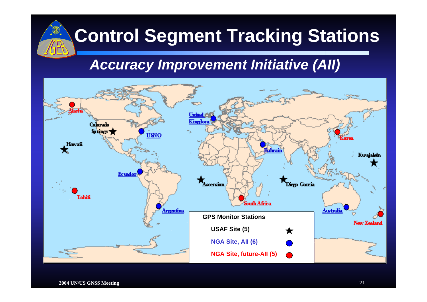

#### **Control Segment Tracking Stations**

#### *Accuracy Improvement Initiative (AII)*

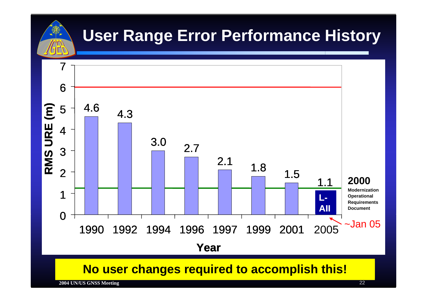

#### **User Range Error Performance History**



#### **No user changes required to accomplish this!**

**2004 UN/US GNSS Meeting** 22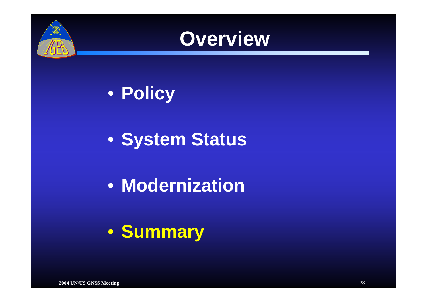



• **Policy**

• **System Status**

• **Modernization**

• **Summary**